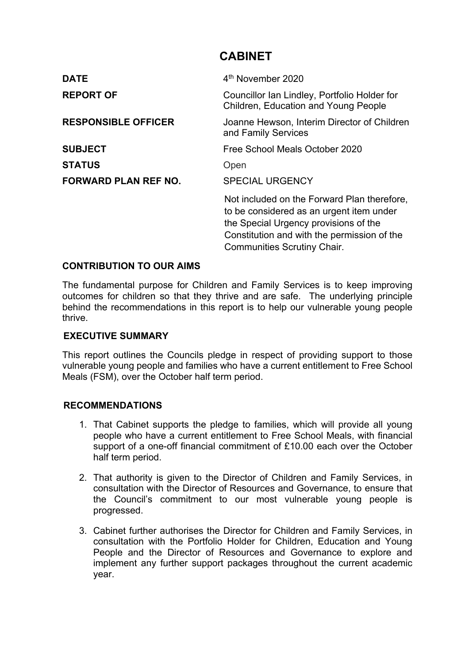# **CABINET**

| <b>DATE</b>                 | 4 <sup>th</sup> November 2020                                                                                                                                                                                         |
|-----------------------------|-----------------------------------------------------------------------------------------------------------------------------------------------------------------------------------------------------------------------|
| <b>REPORT OF</b>            | Councillor Ian Lindley, Portfolio Holder for<br><b>Children, Education and Young People</b>                                                                                                                           |
| <b>RESPONSIBLE OFFICER</b>  | Joanne Hewson, Interim Director of Children<br>and Family Services                                                                                                                                                    |
| <b>SUBJECT</b>              | Free School Meals October 2020                                                                                                                                                                                        |
| <b>STATUS</b>               | Open                                                                                                                                                                                                                  |
| <b>FORWARD PLAN REF NO.</b> | <b>SPECIAL URGENCY</b>                                                                                                                                                                                                |
|                             | Not included on the Forward Plan therefore,<br>to be considered as an urgent item under<br>the Special Urgency provisions of the<br>Constitution and with the permission of the<br><b>Communities Scrutiny Chair.</b> |

# **CONTRIBUTION TO OUR AIMS**

The fundamental purpose for Children and Family Services is to keep improving outcomes for children so that they thrive and are safe. The underlying principle behind the recommendations in this report is to help our vulnerable young people thrive.

#### **EXECUTIVE SUMMARY**

This report outlines the Councils pledge in respect of providing support to those vulnerable young people and families who have a current entitlement to Free School Meals (FSM), over the October half term period.

#### **RECOMMENDATIONS**

- 1. That Cabinet supports the pledge to families, which will provide all young people who have a current entitlement to Free School Meals, with financial support of a one-off financial commitment of £10.00 each over the October half term period.
- 2. That authority is given to the Director of Children and Family Services, in consultation with the Director of Resources and Governance, to ensure that the Council's commitment to our most vulnerable young people is progressed.
- 3. Cabinet further authorises the Director for Children and Family Services, in consultation with the Portfolio Holder for Children, Education and Young People and the Director of Resources and Governance to explore and implement any further support packages throughout the current academic year.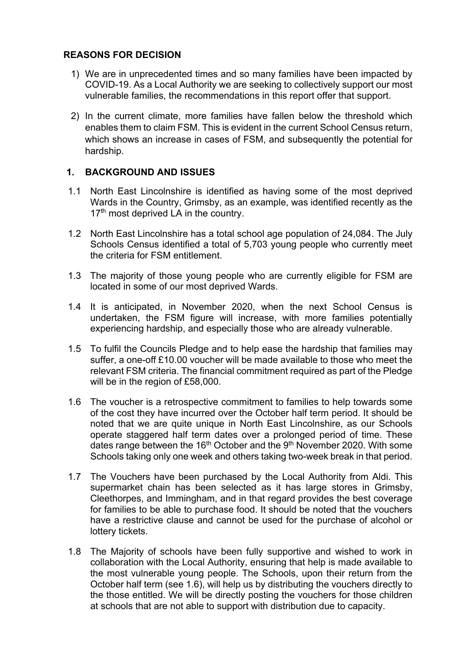#### **REASONS FOR DECISION**

- 1) We are in unprecedented times and so many families have been impacted by COVID-19. As a Local Authority we are seeking to collectively support our most vulnerable families, the recommendations in this report offer that support.
- 2) In the current climate, more families have fallen below the threshold which enables them to claim FSM. This is evident in the current School Census return, which shows an increase in cases of FSM, and subsequently the potential for hardship.

# **1. BACKGROUND AND ISSUES**

- 1.1 North East Lincolnshire is identified as having some of the most deprived Wards in the Country, Grimsby, as an example, was identified recently as the 17<sup>th</sup> most deprived LA in the country.
- 1.2 North East Lincolnshire has a total school age population of 24,084. The July Schools Census identified a total of 5,703 young people who currently meet the criteria for FSM entitlement.
- 1.3 The majority of those young people who are currently eligible for FSM are located in some of our most deprived Wards.
- 1.4 It is anticipated, in November 2020, when the next School Census is undertaken, the FSM figure will increase, with more families potentially experiencing hardship, and especially those who are already vulnerable.
- 1.5 To fulfil the Councils Pledge and to help ease the hardship that families may suffer, a one-off £10.00 voucher will be made available to those who meet the relevant FSM criteria. The financial commitment required as part of the Pledge will be in the region of £58,000.
- 1.6 The voucher is a retrospective commitment to families to help towards some of the cost they have incurred over the October half term period. It should be noted that we are quite unique in North East Lincolnshire, as our Schools operate staggered half term dates over a prolonged period of time. These dates range between the 16<sup>th</sup> October and the 9<sup>th</sup> November 2020. With some Schools taking only one week and others taking two-week break in that period.
- 1.7 The Vouchers have been purchased by the Local Authority from Aldi. This supermarket chain has been selected as it has large stores in Grimsby, Cleethorpes, and Immingham, and in that regard provides the best coverage for families to be able to purchase food. It should be noted that the vouchers have a restrictive clause and cannot be used for the purchase of alcohol or lottery tickets.
- 1.8 The Majority of schools have been fully supportive and wished to work in collaboration with the Local Authority, ensuring that help is made available to the most vulnerable young people. The Schools, upon their return from the October half term (see 1.6), will help us by distributing the vouchers directly to the those entitled. We will be directly posting the vouchers for those children at schools that are not able to support with distribution due to capacity.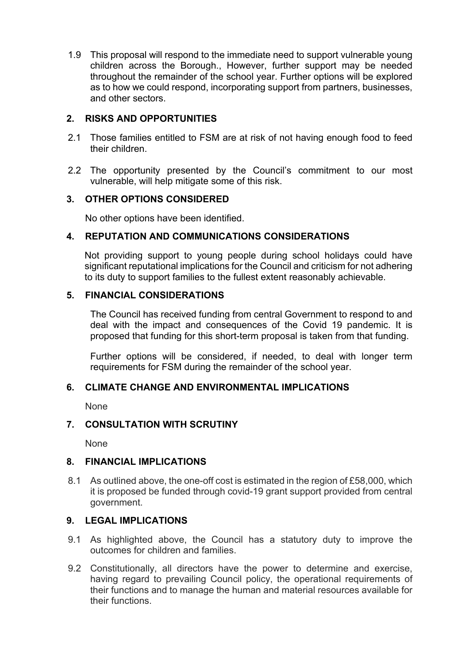1.9 This proposal will respond to the immediate need to support vulnerable young children across the Borough., However, further support may be needed throughout the remainder of the school year. Further options will be explored as to how we could respond, incorporating support from partners, businesses, and other sectors.

# **2. RISKS AND OPPORTUNITIES**

- 2.1 Those families entitled to FSM are at risk of not having enough food to feed their children.
- 2.2 The opportunity presented by the Council's commitment to our most vulnerable, will help mitigate some of this risk.

# **3. OTHER OPTIONS CONSIDERED**

No other options have been identified.

#### **4. REPUTATION AND COMMUNICATIONS CONSIDERATIONS**

Not providing support to young people during school holidays could have significant reputational implications for the Council and criticism for not adhering to its duty to support families to the fullest extent reasonably achievable.

#### **5. FINANCIAL CONSIDERATIONS**

The Council has received funding from central Government to respond to and deal with the impact and consequences of the Covid 19 pandemic. It is proposed that funding for this short-term proposal is taken from that funding.

Further options will be considered, if needed, to deal with longer term requirements for FSM during the remainder of the school year.

#### **6. CLIMATE CHANGE AND ENVIRONMENTAL IMPLICATIONS**

None

# **7. CONSULTATION WITH SCRUTINY**

None

# **8. FINANCIAL IMPLICATIONS**

8.1 As outlined above, the one-off cost is estimated in the region of £58,000, which it is proposed be funded through covid-19 grant support provided from central government.

#### **9. LEGAL IMPLICATIONS**

- 9.1 As highlighted above, the Council has a statutory duty to improve the outcomes for children and families.
- 9.2 Constitutionally, all directors have the power to determine and exercise, having regard to prevailing Council policy, the operational requirements of their functions and to manage the human and material resources available for their functions.